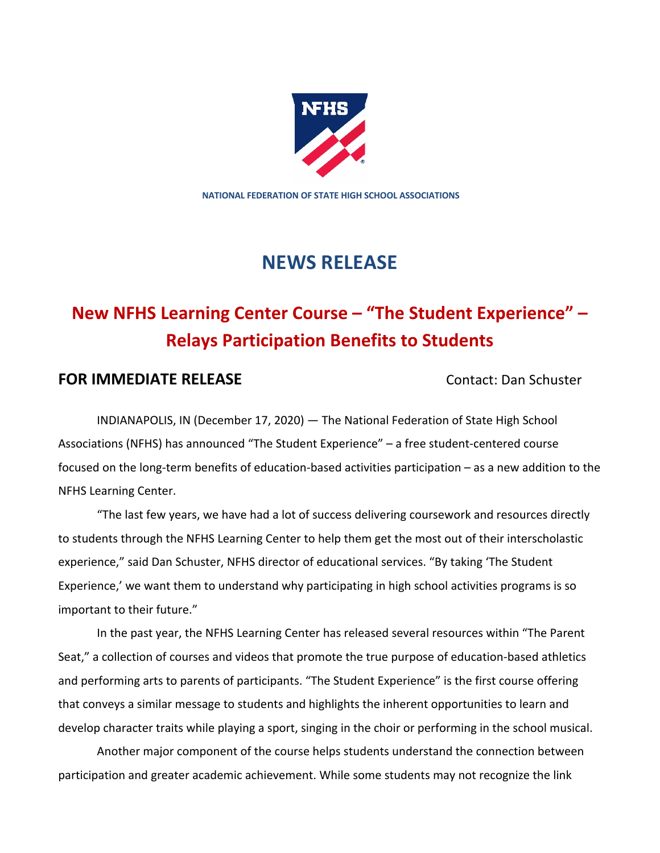

**NATIONAL FEDERATION OF STATE HIGH SCHOOL ASSOCIATIONS**

## **NEWS RELEASE**

# **New NFHS Learning Center Course – "The Student Experience" – Relays Participation Benefits to Students**

## **FOR IMMEDIATE RELEASE Contact: Dan Schuster**

INDIANAPOLIS, IN (December 17, 2020) — The National Federation of State High School Associations (NFHS) has announced "The Student Experience" – a free student-centered course focused on the long-term benefits of education-based activities participation – as a new addition to the NFHS Learning Center.

"The last few years, we have had a lot of success delivering coursework and resources directly to students through the NFHS Learning Center to help them get the most out of their interscholastic experience," said Dan Schuster, NFHS director of educational services. "By taking 'The Student Experience,' we want them to understand why participating in high school activities programs is so important to their future."

In the past year, the NFHS Learning Center has released several resources within "The Parent Seat," a collection of courses and videos that promote the true purpose of education-based athletics and performing arts to parents of participants. "The Student Experience" is the first course offering that conveys a similar message to students and highlights the inherent opportunities to learn and develop character traits while playing a sport, singing in the choir or performing in the school musical.

Another major component of the course helps students understand the connection between participation and greater academic achievement. While some students may not recognize the link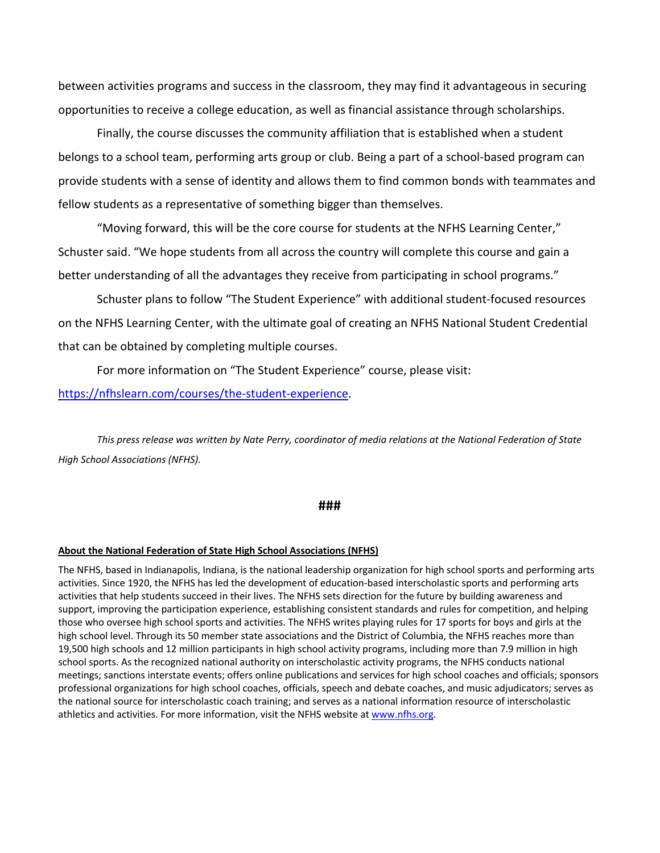between activities programs and success in the classroom, they may find it advantageous in securing opportunities to receive a college education, as well as financial assistance through scholarships.

Finally, the course discusses the community affiliation that is established when a student belongs to a school team, performing arts group or club. Being a part of a school-based program can provide students with a sense of identity and allows them to find common bonds with teammates and fellow students as a representative of something bigger than themselves.

"Moving forward, this will be the core course for students at the NFHS Learning Center," Schuster said. "We hope students from all across the country will complete this course and gain a better understanding of all the advantages they receive from participating in school programs."

Schuster plans to follow "The Student Experience" with additional student-focused resources on the NFHS Learning Center, with the ultimate goal of creating an NFHS National Student Credential that can be obtained by completing multiple courses.

For more information on "The Student Experience" course, please visit:

https://nfhslearn.com/courses/the-student-experience.

*This press release was written by Nate Perry, coordinator of media relations at the National Federation of State High School Associations (NFHS).*

### **###**

#### **About the National Federation of State High School Associations (NFHS)**

The NFHS, based in Indianapolis, Indiana, is the national leadership organization for high school sports and performing arts activities. Since 1920, the NFHS has led the development of education-based interscholastic sports and performing arts activities that help students succeed in their lives. The NFHS sets direction for the future by building awareness and support, improving the participation experience, establishing consistent standards and rules for competition, and helping those who oversee high school sports and activities. The NFHS writes playing rules for 17 sports for boys and girls at the high school level. Through its 50 member state associations and the District of Columbia, the NFHS reaches more than 19,500 high schools and 12 million participants in high school activity programs, including more than 7.9 million in high school sports. As the recognized national authority on interscholastic activity programs, the NFHS conducts national meetings; sanctions interstate events; offers online publications and services for high school coaches and officials; sponsors professional organizations for high school coaches, officials, speech and debate coaches, and music adjudicators; serves as the national source for interscholastic coach training; and serves as a national information resource of interscholastic athletics and activities. For more information, visit the NFHS website at www.nfhs.org.